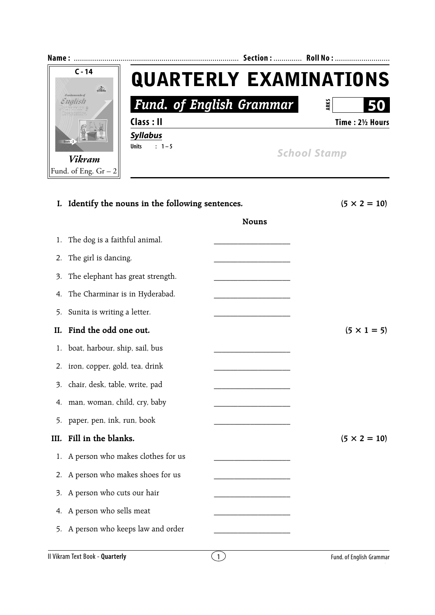

|      | I. Identify the nouns in the following sentences. | $(5 \times 2 = 10)$ |                          |
|------|---------------------------------------------------|---------------------|--------------------------|
|      |                                                   | <b>Nouns</b>        |                          |
| 1.   | The dog is a faithful animal.                     |                     |                          |
| 2.   | The girl is dancing.                              |                     |                          |
| 3.   | The elephant has great strength.                  |                     |                          |
| 4.   | The Charminar is in Hyderabad.                    |                     |                          |
| 5.   | Sunita is writing a letter.                       |                     |                          |
| Н.   | Find the odd one out.                             |                     | $(5 \times 1 = 5)$       |
| 1.   | boat, harbour, ship, sail, bus                    |                     |                          |
| 2.   | iron, copper, gold, tea, drink                    |                     |                          |
| 3.   | chair, desk, table, write, pad                    |                     |                          |
| 4.   | man, woman, child, cry, baby                      |                     |                          |
| 5.   | paper, pen, ink, run, book                        |                     |                          |
| III. | Fill in the blanks.                               |                     | $(5 \times 2 = 10)$      |
| 1.   | A person who makes clothes for us                 |                     |                          |
| 2.   | A person who makes shoes for us                   |                     |                          |
| 3.   | A person who cuts our hair                        |                     |                          |
| 4.   | A person who sells meat                           |                     |                          |
| 5.   | A person who keeps law and order                  |                     |                          |
|      | Il Vikram Text Book - Quarterly                   | $\left(1\right)$    | Fund. of English Grammar |